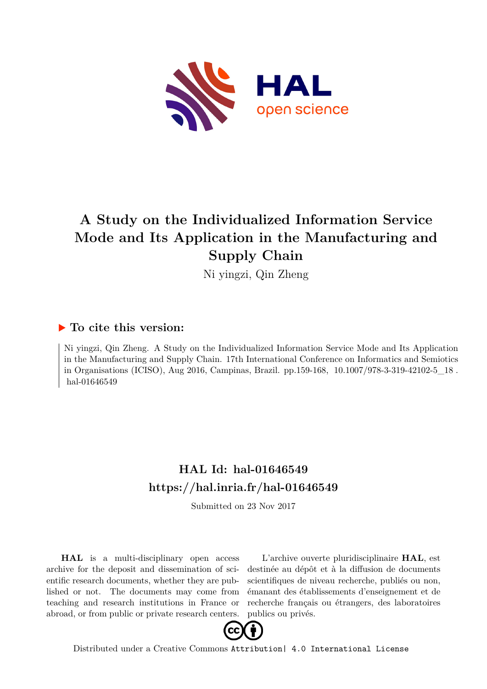

# **A Study on the Individualized Information Service Mode and Its Application in the Manufacturing and Supply Chain**

Ni yingzi, Qin Zheng

# **To cite this version:**

Ni yingzi, Qin Zheng. A Study on the Individualized Information Service Mode and Its Application in the Manufacturing and Supply Chain. 17th International Conference on Informatics and Semiotics in Organisations (ICISO), Aug 2016, Campinas, Brazil. pp.159-168, 10.1007/978-3-319-42102-5\_18.  $hal-01646549$ 

# **HAL Id: hal-01646549 <https://hal.inria.fr/hal-01646549>**

Submitted on 23 Nov 2017

**HAL** is a multi-disciplinary open access archive for the deposit and dissemination of scientific research documents, whether they are published or not. The documents may come from teaching and research institutions in France or abroad, or from public or private research centers.

L'archive ouverte pluridisciplinaire **HAL**, est destinée au dépôt et à la diffusion de documents scientifiques de niveau recherche, publiés ou non, émanant des établissements d'enseignement et de recherche français ou étrangers, des laboratoires publics ou privés.



Distributed under a Creative Commons [Attribution| 4.0 International License](http://creativecommons.org/licenses/by/4.0/)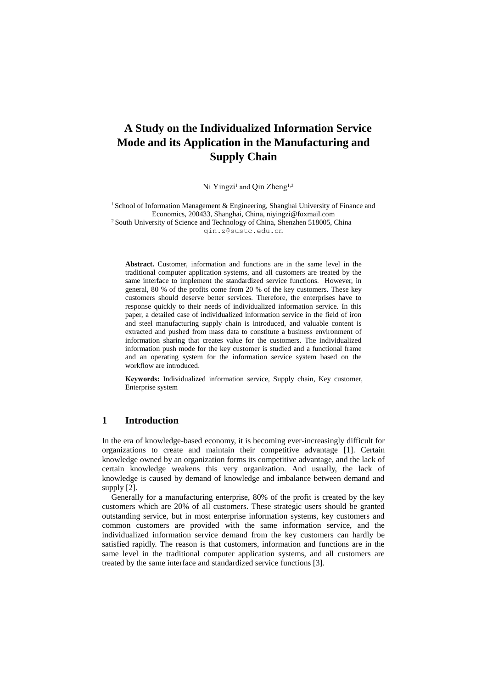# **A Study on the Individualized Information Service Mode and its Application in the Manufacturing and Supply Chain**

Ni Yingzi<sup>1</sup> and Qin Zheng<sup>1,2</sup>

<sup>1</sup> School of Information Management  $\&$  Engineering, Shanghai University of Finance and Economics, 200433, Shanghai, China, [niyingzi@foxmail.com](mailto:niyingzi@foxmail.com) <sup>2</sup> South University of Science and Technology of China, Shenzhen 518005, China [qin.z@sustc.edu.cn](mailto:qin.z@sustc.edu.cn)

**Abstract.** Customer, information and functions are in the same level in the traditional computer application systems, and all customers are treated by the same interface to implement the standardized service functions. However, in general, 80 % of the profits come from 20 % of the key customers. These key customers should deserve better services. Therefore, the enterprises have to response quickly to their needs of individualized information service. In this paper, a detailed case of individualized information service in the field of iron and steel manufacturing supply chain is introduced, and valuable content is extracted and pushed from mass data to constitute a business environment of information sharing that creates value for the customers. The individualized information push mode for the key customer is studied and a functional frame and an operating system for the information service system based on the workflow are introduced.

**Keywords:** Individualized information service, Supply chain, Key customer, Enterprise system

## **1 Introduction**

In the era of knowledge-based economy, it is becoming ever-increasingly difficult for organizations to create and maintain their competitive advantage [1]. Certain knowledge owned by an organization forms its competitive advantage, and the lack of certain knowledge weakens this very organization. And usually, the lack of knowledge is caused by demand of knowledge and imbalance between demand and supply [2].

Generally for a manufacturing enterprise, 80% of the profit is created by the key customers which are 20% of all customers. These strategic users should be granted outstanding service, but in most enterprise information systems, key customers and common customers are provided with the same information service, and the individualized information service demand from the key customers can hardly be satisfied rapidly. The reason is that customers, information and functions are in the same level in the traditional computer application systems, and all customers are treated by the same interface and standardized service functions [3].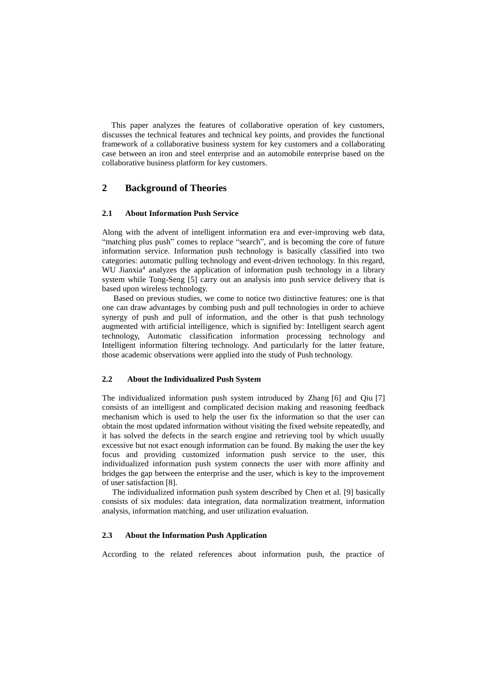This paper analyzes the features of collaborative operation of key customers, discusses the technical features and technical key points, and provides the functional framework of a collaborative business system for key customers and a collaborating case between an iron and steel enterprise and an automobile enterprise based on the collaborative business platform for key customers.

# **2 Background of Theories**

#### **2.1 About Information Push Service**

Along with the advent of intelligent information era and ever-improving web data, "matching plus push" comes to replace "search", and is becoming the core of future information service. Information push technology is basically classified into two categories: automatic pulling technology and event-driven technology. In this regard, WU Jianxia<sup>4</sup> analyzes the application of information push technology in a library system while Tong-Seng [5] carry out an analysis into push service delivery that is based upon wireless technology.

Based on previous studies, we come to notice two distinctive features: one is that one can draw advantages by combing push and pull technologies in order to achieve synergy of push and pull of information, and the other is that push technology augmented with artificial intelligence, which is signified by: Intelligent search agent technology, Automatic classification information processing technology and Intelligent information filtering technology. And particularly for the latter feature, those academic observations were applied into the study of Push technology.

#### **2.2 About the Individualized Push System**

The individualized information push system introduced by Zhang [6] and Qiu [7] consists of an intelligent and complicated decision making and reasoning feedback mechanism which is used to help the user fix the information so that the user can obtain the most updated information without visiting the fixed website repeatedly, and it has solved the defects in the search engine and retrieving tool by which usually excessive but not exact enough information can be found. By making the user the key focus and providing customized information push service to the user, this individualized information push system connects the user with more affinity and bridges the gap between the enterprise and the user, which is key to the improvement of user satisfaction [8].

The individualized information push system described by Chen et al. [9] basically consists of six modules: data integration, data normalization treatment, information analysis, information matching, and user utilization evaluation.

### **2.3 About the Information Push Application**

According to the related references about information push, the practice of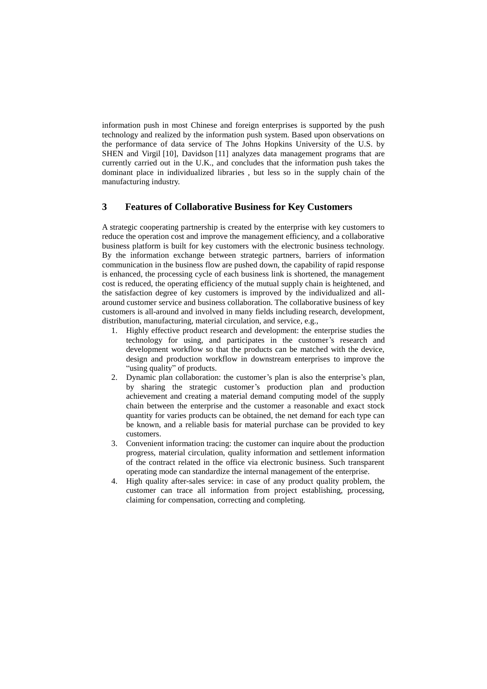information push in most Chinese and foreign enterprises is supported by the push technology and realized by the information push system. Based upon observations on the performance of data service of The Johns Hopkins University of the U.S. by SHEN and Virgil [10], Davidson [11] analyzes data management programs that are currently carried out in the U.K., and concludes that the information push takes the dominant place in individualized libraries , but less so in the supply chain of the manufacturing industry.

# **3 Features of Collaborative Business for Key Customers**

A strategic cooperating partnership is created by the enterprise with key customers to reduce the operation cost and improve the management efficiency, and a collaborative business platform is built for key customers with the electronic business technology. By the information exchange between strategic partners, barriers of information communication in the business flow are pushed down, the capability of rapid response is enhanced, the processing cycle of each business link is shortened, the management cost is reduced, the operating efficiency of the mutual supply chain is heightened, and the satisfaction degree of key customers is improved by the individualized and allaround customer service and business collaboration. The collaborative business of key customers is all-around and involved in many fields including research, development, distribution, manufacturing, material circulation, and service, e.g.,

- 1. Highly effective product research and development: the enterprise studies the technology for using, and participates in the customer's research and development workflow so that the products can be matched with the device, design and production workflow in downstream enterprises to improve the "using quality" of products.
- 2. Dynamic plan collaboration: the customer's plan is also the enterprise's plan, by sharing the strategic customer's production plan and production achievement and creating a material demand computing model of the supply chain between the enterprise and the customer a reasonable and exact stock quantity for varies products can be obtained, the net demand for each type can be known, and a reliable basis for material purchase can be provided to key customers.
- 3. Convenient information tracing: the customer can inquire about the production progress, material circulation, quality information and settlement information of the contract related in the office via electronic business. Such transparent operating mode can standardize the internal management of the enterprise.
- 4. High quality after-sales service: in case of any product quality problem, the customer can trace all information from project establishing, processing, claiming for compensation, correcting and completing.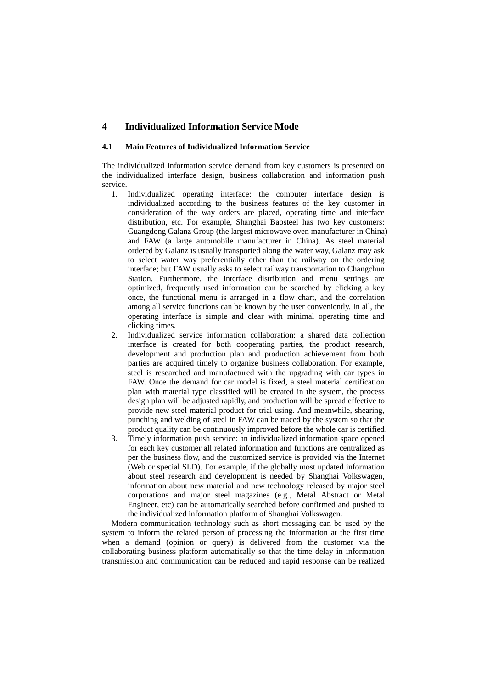# **4 Individualized Information Service Mode**

#### **4.1 Main Features of Individualized Information Service**

The individualized information service demand from key customers is presented on the individualized interface design, business collaboration and information push service.

- 1. Individualized operating interface: the computer interface design is individualized according to the business features of the key customer in consideration of the way orders are placed, operating time and interface distribution, etc. For example, Shanghai Baosteel has two key customers: Guangdong Galanz Group (the largest microwave oven manufacturer in China) and FAW (a large automobile manufacturer in China). As steel material ordered by Galanz is usually transported along the water way, Galanz may ask to select water way preferentially other than the railway on the ordering interface; but FAW usually asks to select railway transportation to Changchun Station. Furthermore, the interface distribution and menu settings are optimized, frequently used information can be searched by clicking a key once, the functional menu is arranged in a flow chart, and the correlation among all service functions can be known by the user conveniently. In all, the operating interface is simple and clear with minimal operating time and clicking times.
- 2. Individualized service information collaboration: a shared data collection interface is created for both cooperating parties, the product research, development and production plan and production achievement from both parties are acquired timely to organize business collaboration. For example, steel is researched and manufactured with the upgrading with car types in FAW. Once the demand for car model is fixed, a steel material certification plan with material type classified will be created in the system, the process design plan will be adjusted rapidly, and production will be spread effective to provide new steel material product for trial using. And meanwhile, shearing, punching and welding of steel in FAW can be traced by the system so that the product quality can be continuously improved before the whole car is certified.
- 3. Timely information push service: an individualized information space opened for each key customer all related information and functions are centralized as per the business flow, and the customized service is provided via the Internet (Web or special SLD). For example, if the globally most updated information about steel research and development is needed by Shanghai Volkswagen, information about new material and new technology released by major steel corporations and major steel magazines (e.g., Metal Abstract or Metal Engineer, etc) can be automatically searched before confirmed and pushed to the individualized information platform of Shanghai Volkswagen.

Modern communication technology such as short messaging can be used by the system to inform the related person of processing the information at the first time when a demand (opinion or query) is delivered from the customer via the collaborating business platform automatically so that the time delay in information transmission and communication can be reduced and rapid response can be realized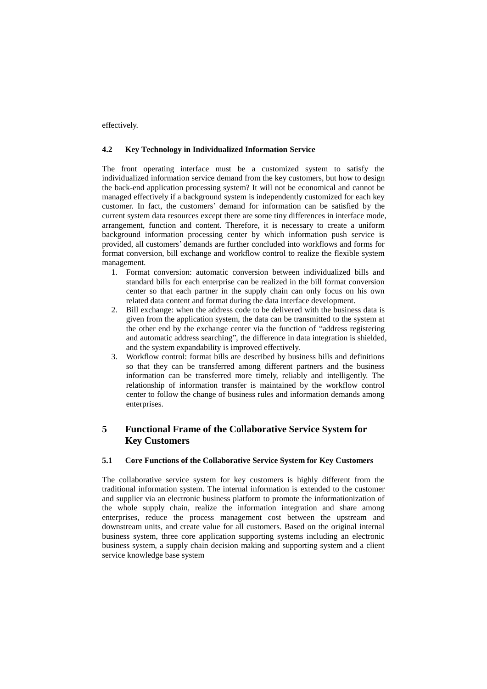effectively.

### **4.2 Key Technology in Individualized Information Service**

The front operating interface must be a customized system to satisfy the individualized information service demand from the key customers, but how to design the back-end application processing system? It will not be economical and cannot be managed effectively if a background system is independently customized for each key customer. In fact, the customers' demand for information can be satisfied by the current system data resources except there are some tiny differences in interface mode, arrangement, function and content. Therefore, it is necessary to create a uniform background information processing center by which information push service is provided, all customers' demands are further concluded into workflows and forms for format conversion, bill exchange and workflow control to realize the flexible system management.

- 1. Format conversion: automatic conversion between individualized bills and standard bills for each enterprise can be realized in the bill format conversion center so that each partner in the supply chain can only focus on his own related data content and format during the data interface development.
- 2. Bill exchange: when the address code to be delivered with the business data is given from the application system, the data can be transmitted to the system at the other end by the exchange center via the function of "address registering and automatic address searching", the difference in data integration is shielded, and the system expandability is improved effectively.
- 3. Workflow control: format bills are described by business bills and definitions so that they can be transferred among different partners and the business information can be transferred more timely, reliably and intelligently. The relationship of information transfer is maintained by the workflow control center to follow the change of business rules and information demands among enterprises.

# **5 Functional Frame of the Collaborative Service System for Key Customers**

# **5.1 Core Functions of the Collaborative Service System for Key Customers**

The collaborative service system for key customers is highly different from the traditional information system. The internal information is extended to the customer and supplier via an electronic business platform to promote the informationization of the whole supply chain, realize the information integration and share among enterprises, reduce the process management cost between the upstream and downstream units, and create value for all customers. Based on the original internal business system, three core application supporting systems including an electronic business system, a supply chain decision making and supporting system and a client service knowledge base system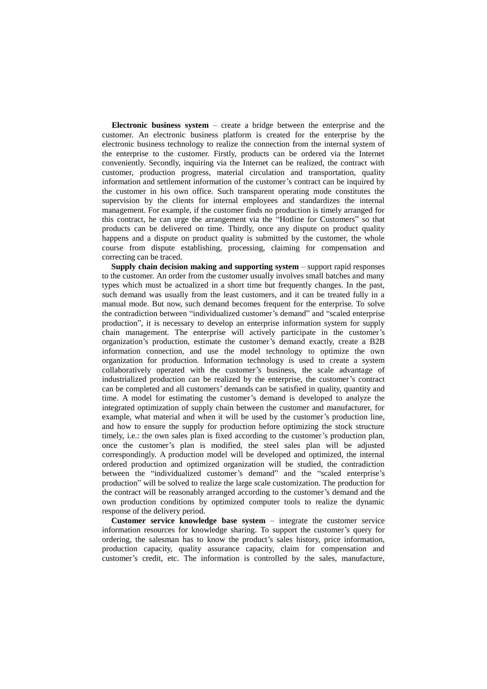**Electronic business system** – create a bridge between the enterprise and the customer. An electronic business platform is created for the enterprise by the electronic business technology to realize the connection from the internal system of the enterprise to the customer. Firstly, products can be ordered via the Internet conveniently. Secondly, inquiring via the Internet can be realized, the contract with customer, production progress, material circulation and transportation, quality information and settlement information of the customer's contract can be inquired by the customer in his own office. Such transparent operating mode constitutes the supervision by the clients for internal employees and standardizes the internal management. For example, if the customer finds no production is timely arranged for this contract, he can urge the arrangement via the "Hotline for Customers" so that products can be delivered on time. Thirdly, once any dispute on product quality happens and a dispute on product quality is submitted by the customer, the whole course from dispute establishing, processing, claiming for compensation and correcting can be traced.

**Supply chain decision making and supporting system** – support rapid responses to the customer. An order from the customer usually involves small batches and many types which must be actualized in a short time but frequently changes. In the past, such demand was usually from the least customers, and it can be treated fully in a manual mode. But now, such demand becomes frequent for the enterprise. To solve the contradiction between "individualized customer's demand" and "scaled enterprise production", it is necessary to develop an enterprise information system for supply chain management. The enterprise will actively participate in the customer's organization's production, estimate the customer's demand exactly, create a B2B information connection, and use the model technology to optimize the own organization for production. Information technology is used to create a system collaboratively operated with the customer's business, the scale advantage of industrialized production can be realized by the enterprise, the customer's contract can be completed and all customers' demands can be satisfied in quality, quantity and time. A model for estimating the customer's demand is developed to analyze the integrated optimization of supply chain between the customer and manufacturer, for example, what material and when it will be used by the customer's production line, and how to ensure the supply for production before optimizing the stock structure timely, i.e.: the own sales plan is fixed according to the customer's production plan, once the customer's plan is modified, the steel sales plan will be adjusted correspondingly. A production model will be developed and optimized, the internal ordered production and optimized organization will be studied, the contradiction between the "individualized customer's demand" and the "scaled enterprise's production" will be solved to realize the large scale customization. The production for the contract will be reasonably arranged according to the customer's demand and the own production conditions by optimized computer tools to realize the dynamic response of the delivery period.

**Customer service knowledge base system** – integrate the customer service information resources for knowledge sharing. To support the customer's query for ordering, the salesman has to know the product's sales history, price information, production capacity, quality assurance capacity, claim for compensation and customer's credit, etc. The information is controlled by the sales, manufacture,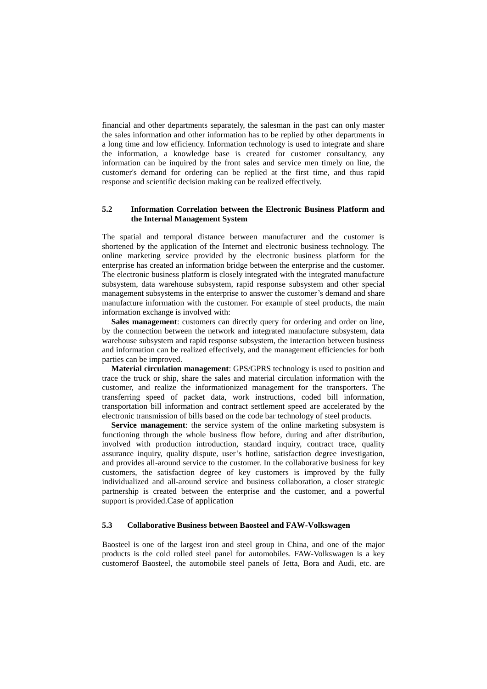financial and other departments separately, the salesman in the past can only master the sales information and other information has to be replied by other departments in a long time and low efficiency. Information technology is used to integrate and share the information, a knowledge base is created for customer consultancy, any information can be inquired by the front sales and service men timely on line, the customer's demand for ordering can be replied at the first time, and thus rapid response and scientific decision making can be realized effectively.

### **5.2 Information Correlation between the Electronic Business Platform and the Internal Management System**

The spatial and temporal distance between manufacturer and the customer is shortened by the application of the Internet and electronic business technology. The online marketing service provided by the electronic business platform for the enterprise has created an information bridge between the enterprise and the customer. The electronic business platform is closely integrated with the integrated manufacture subsystem, data warehouse subsystem, rapid response subsystem and other special management subsystems in the enterprise to answer the customer's demand and share manufacture information with the customer. For example of steel products, the main information exchange is involved with:

**Sales management**: customers can directly query for ordering and order on line, by the connection between the network and integrated manufacture subsystem, data warehouse subsystem and rapid response subsystem, the interaction between business and information can be realized effectively, and the management efficiencies for both parties can be improved.

**Material circulation management**: GPS/GPRS technology is used to position and trace the truck or ship, share the sales and material circulation information with the customer, and realize the informationized management for the transporters. The transferring speed of packet data, work instructions, coded bill information, transportation bill information and contract settlement speed are accelerated by the electronic transmission of bills based on the code bar technology of steel products.

**Service management**: the service system of the online marketing subsystem is functioning through the whole business flow before, during and after distribution, involved with production introduction, standard inquiry, contract trace, quality assurance inquiry, quality dispute, user's hotline, satisfaction degree investigation, and provides all-around service to the customer. In the collaborative business for key customers, the satisfaction degree of key customers is improved by the fully individualized and all-around service and business collaboration, a closer strategic partnership is created between the enterprise and the customer, and a powerful support is provided.Case of application

#### **5.3 Collaborative Business between Baosteel and FAW-Volkswagen**

Baosteel is one of the largest iron and steel group in China, and one of the major products is the cold rolled steel panel for automobiles. FAW-Volkswagen is a key customerof Baosteel, the automobile steel panels of Jetta, Bora and Audi, etc. are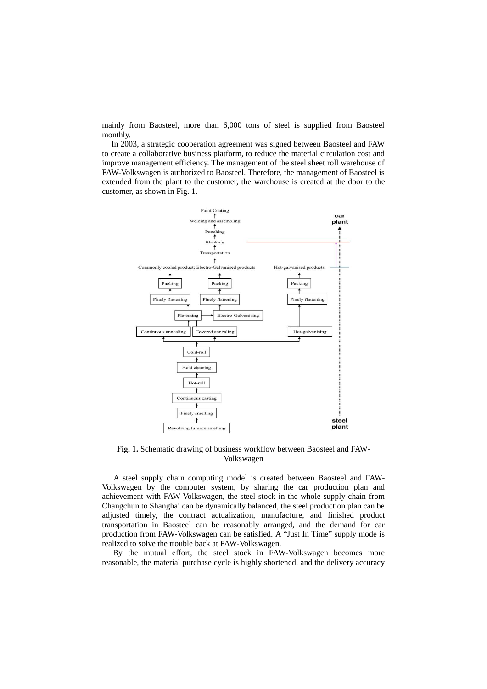mainly from Baosteel, more than 6,000 tons of steel is supplied from Baosteel monthly.

In 2003, a strategic cooperation agreement was signed between Baosteel and FAW to create a collaborative business platform, to reduce the material circulation cost and improve management efficiency. The management of the steel sheet roll warehouse of FAW-Volkswagen is authorized to Baosteel. Therefore, the management of Baosteel is extended from the plant to the customer, the warehouse is created at the door to the customer, as shown in Fig. 1.



**Fig. 1.** Schematic drawing of business workflow between Baosteel and FAW-Volkswagen

A steel supply chain computing model is created between Baosteel and FAW-Volkswagen by the computer system, by sharing the car production plan and achievement with FAW-Volkswagen, the steel stock in the whole supply chain from Changchun to Shanghai can be dynamically balanced, the steel production plan can be adjusted timely, the contract actualization, manufacture, and finished product transportation in Baosteel can be reasonably arranged, and the demand for car production from FAW-Volkswagen can be satisfied. A "Just In Time" supply mode is realized to solve the trouble back at FAW-Volkswagen.

By the mutual effort, the steel stock in FAW-Volkswagen becomes more reasonable, the material purchase cycle is highly shortened, and the delivery accuracy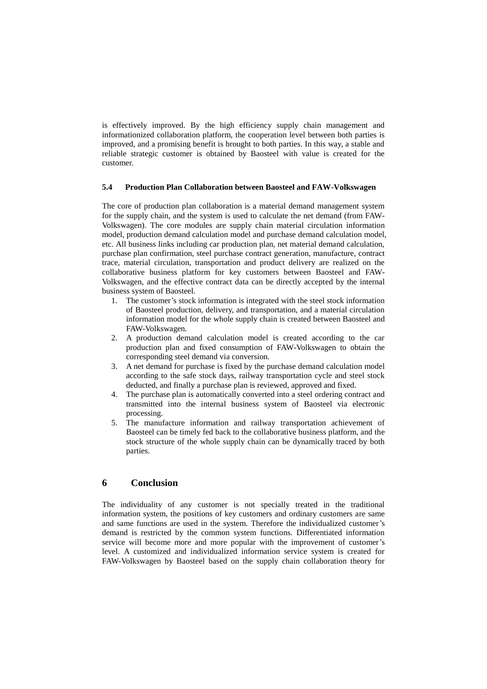is effectively improved. By the high efficiency supply chain management and informationized collaboration platform, the cooperation level between both parties is improved, and a promising benefit is brought to both parties. In this way, a stable and reliable strategic customer is obtained by Baosteel with value is created for the customer.

#### **5.4 Production Plan Collaboration between Baosteel and FAW-Volkswagen**

The core of production plan collaboration is a material demand management system for the supply chain, and the system is used to calculate the net demand (from FAW-Volkswagen). The core modules are supply chain material circulation information model, production demand calculation model and purchase demand calculation model, etc. All business links including car production plan, net material demand calculation, purchase plan confirmation, steel purchase contract generation, manufacture, contract trace, material circulation, transportation and product delivery are realized on the collaborative business platform for key customers between Baosteel and FAW-Volkswagen, and the effective contract data can be directly accepted by the internal business system of Baosteel.

- 1. The customer's stock information is integrated with the steel stock information of Baosteel production, delivery, and transportation, and a material circulation information model for the whole supply chain is created between Baosteel and FAW-Volkswagen.
- 2. A production demand calculation model is created according to the car production plan and fixed consumption of FAW-Volkswagen to obtain the corresponding steel demand via conversion.
- 3. A net demand for purchase is fixed by the purchase demand calculation model according to the safe stock days, railway transportation cycle and steel stock deducted, and finally a purchase plan is reviewed, approved and fixed.
- 4. The purchase plan is automatically converted into a steel ordering contract and transmitted into the internal business system of Baosteel via electronic processing.
- 5. The manufacture information and railway transportation achievement of Baosteel can be timely fed back to the collaborative business platform, and the stock structure of the whole supply chain can be dynamically traced by both parties.

# **6 Conclusion**

The individuality of any customer is not specially treated in the traditional information system, the positions of key customers and ordinary customers are same and same functions are used in the system. Therefore the individualized customer's demand is restricted by the common system functions. Differentiated information service will become more and more popular with the improvement of customer's level. A customized and individualized information service system is created for FAW-Volkswagen by Baosteel based on the supply chain collaboration theory for